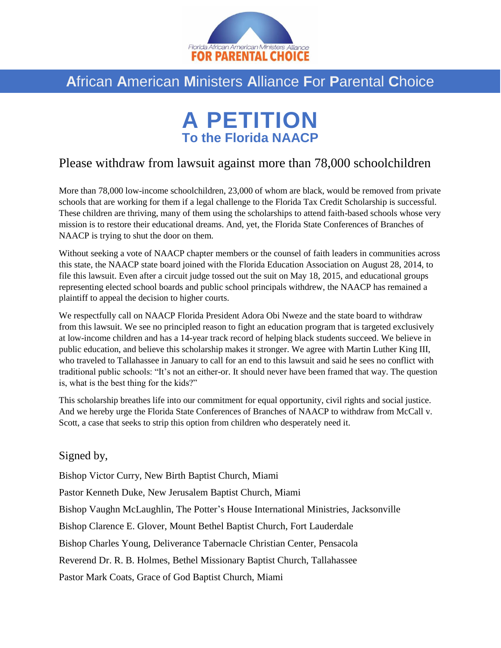

## **A**frican **A**merican **M**inisters **A**lliance **F**or **P**arental **C**hoice

## **A PETITION To the Florida NAACP**

## Please withdraw from lawsuit against more than 78,000 schoolchildren

More than 78,000 low-income schoolchildren, 23,000 of whom are black, would be removed from private schools that are working for them if a legal challenge to the Florida Tax Credit Scholarship is successful. These children are thriving, many of them using the scholarships to attend faith-based schools whose very mission is to restore their educational dreams. And, yet, the Florida State Conferences of Branches of NAACP is trying to shut the door on them.

Without seeking a vote of NAACP chapter members or the counsel of faith leaders in communities across this state, the NAACP state board joined with the Florida Education Association on August 28, 2014, to file this lawsuit. Even after a circuit judge tossed out the suit on May 18, 2015, and educational groups representing elected school boards and public school principals withdrew, the NAACP has remained a plaintiff to appeal the decision to higher courts.

We respectfully call on NAACP Florida President Adora Obi Nweze and the state board to withdraw from this lawsuit. We see no principled reason to fight an education program that is targeted exclusively at low-income children and has a 14-year track record of helping black students succeed. We believe in public education, and believe this scholarship makes it stronger. We agree with Martin Luther King III, who traveled to Tallahassee in January to call for an end to this lawsuit and said he sees no conflict with traditional public schools: "It's not an either-or. It should never have been framed that way. The question is, what is the best thing for the kids?"

This scholarship breathes life into our commitment for equal opportunity, civil rights and social justice. And we hereby urge the Florida State Conferences of Branches of NAACP to withdraw from McCall v. Scott, a case that seeks to strip this option from children who desperately need it.

## Signed by,

Bishop Victor Curry, New Birth Baptist Church, Miami

Pastor Kenneth Duke, New Jerusalem Baptist Church, Miami

Bishop Vaughn McLaughlin, The Potter's House International Ministries, Jacksonville

Bishop Clarence E. Glover, Mount Bethel Baptist Church, Fort Lauderdale

Bishop Charles Young, Deliverance Tabernacle Christian Center, Pensacola

Reverend Dr. R. B. Holmes, Bethel Missionary Baptist Church, Tallahassee

Pastor Mark Coats, Grace of God Baptist Church, Miami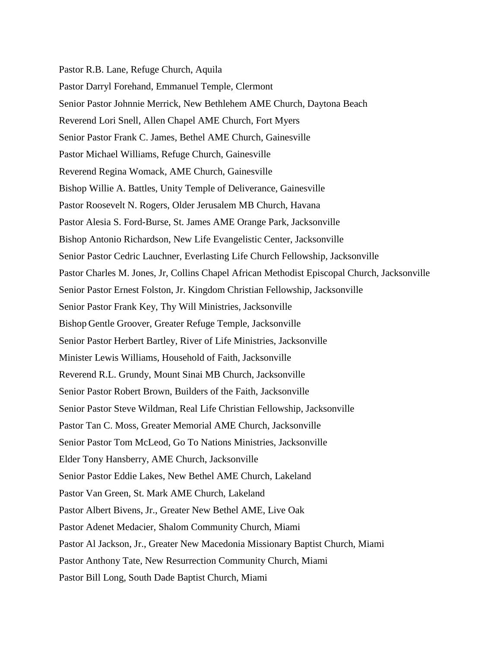Pastor R.B. Lane, Refuge Church, Aquila Pastor Darryl Forehand, Emmanuel Temple, Clermont Senior Pastor Johnnie Merrick, New Bethlehem AME Church, Daytona Beach Reverend Lori Snell, Allen Chapel AME Church, Fort Myers Senior Pastor Frank C. James, Bethel AME Church, Gainesville Pastor Michael Williams, Refuge Church, Gainesville Reverend Regina Womack, AME Church, Gainesville Bishop Willie A. Battles, Unity Temple of Deliverance, Gainesville Pastor Roosevelt N. Rogers, Older Jerusalem MB Church, Havana Pastor Alesia S. Ford-Burse, St. James AME Orange Park, Jacksonville Bishop Antonio Richardson, New Life Evangelistic Center, Jacksonville Senior Pastor Cedric Lauchner, Everlasting Life Church Fellowship, Jacksonville Pastor Charles M. Jones, Jr, Collins Chapel African Methodist Episcopal Church, Jacksonville Senior Pastor Ernest Folston, Jr. Kingdom Christian Fellowship, Jacksonville Senior Pastor Frank Key, Thy Will Ministries, Jacksonville Bishop Gentle Groover, Greater Refuge Temple, Jacksonville Senior Pastor Herbert Bartley, River of Life Ministries, Jacksonville Minister Lewis Williams, Household of Faith, Jacksonville Reverend R.L. Grundy, Mount Sinai MB Church, Jacksonville Senior Pastor Robert Brown, Builders of the Faith, Jacksonville Senior Pastor Steve Wildman, Real Life Christian Fellowship, Jacksonville Pastor Tan C. Moss, Greater Memorial AME Church, Jacksonville Senior Pastor Tom McLeod, Go To Nations Ministries, Jacksonville Elder Tony Hansberry, AME Church, Jacksonville Senior Pastor Eddie Lakes, New Bethel AME Church, Lakeland Pastor Van Green, St. Mark AME Church, Lakeland Pastor Albert Bivens, Jr., Greater New Bethel AME, Live Oak Pastor Adenet Medacier, Shalom Community Church, Miami Pastor Al Jackson, Jr., Greater New Macedonia Missionary Baptist Church, Miami Pastor Anthony Tate, New Resurrection Community Church, Miami Pastor Bill Long, South Dade Baptist Church, Miami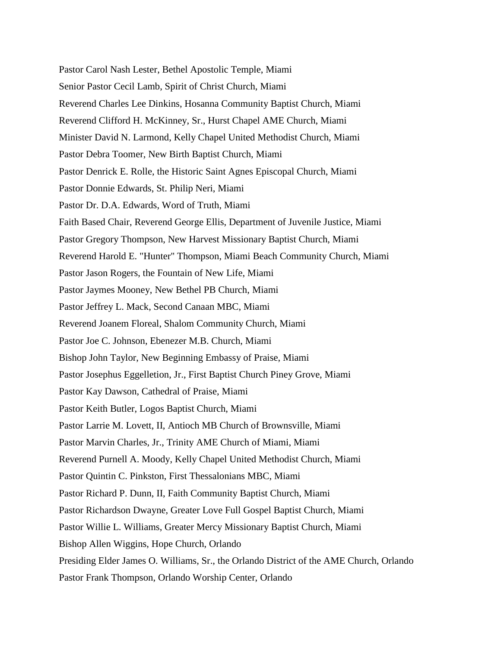Pastor Carol Nash Lester, Bethel Apostolic Temple, Miami Senior Pastor Cecil Lamb, Spirit of Christ Church, Miami Reverend Charles Lee Dinkins, Hosanna Community Baptist Church, Miami Reverend Clifford H. McKinney, Sr., Hurst Chapel AME Church, Miami Minister David N. Larmond, Kelly Chapel United Methodist Church, Miami Pastor Debra Toomer, New Birth Baptist Church, Miami Pastor Denrick E. Rolle, the Historic Saint Agnes Episcopal Church, Miami Pastor Donnie Edwards, St. Philip Neri, Miami Pastor Dr. D.A. Edwards, Word of Truth, Miami Faith Based Chair, Reverend George Ellis, Department of Juvenile Justice, Miami Pastor Gregory Thompson, New Harvest Missionary Baptist Church, Miami Reverend Harold E. "Hunter" Thompson, Miami Beach Community Church, Miami Pastor Jason Rogers, the Fountain of New Life, Miami Pastor Jaymes Mooney, New Bethel PB Church, Miami Pastor Jeffrey L. Mack, Second Canaan MBC, Miami Reverend Joanem Floreal, Shalom Community Church, Miami Pastor Joe C. Johnson, Ebenezer M.B. Church, Miami Bishop John Taylor, New Beginning Embassy of Praise, Miami Pastor Josephus Eggelletion, Jr., First Baptist Church Piney Grove, Miami Pastor Kay Dawson, Cathedral of Praise, Miami Pastor Keith Butler, Logos Baptist Church, Miami Pastor Larrie M. Lovett, II, Antioch MB Church of Brownsville, Miami Pastor Marvin Charles, Jr., Trinity AME Church of Miami, Miami Reverend Purnell A. Moody, Kelly Chapel United Methodist Church, Miami Pastor Quintin C. Pinkston, First Thessalonians MBC, Miami Pastor Richard P. Dunn, II, Faith Community Baptist Church, Miami Pastor Richardson Dwayne, Greater Love Full Gospel Baptist Church, Miami Pastor Willie L. Williams, Greater Mercy Missionary Baptist Church, Miami Bishop Allen Wiggins, Hope Church, Orlando Presiding Elder James O. Williams, Sr., the Orlando District of the AME Church, Orlando Pastor Frank Thompson, Orlando Worship Center, Orlando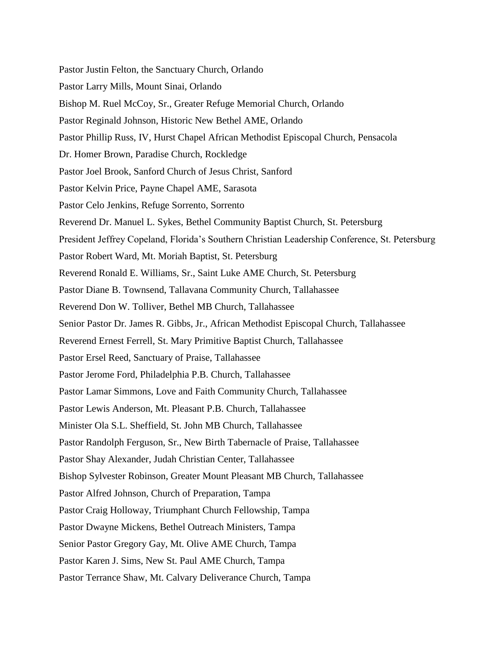Pastor Justin Felton, the Sanctuary Church, Orlando Pastor Larry Mills, Mount Sinai, Orlando Bishop M. Ruel McCoy, Sr., Greater Refuge Memorial Church, Orlando Pastor Reginald Johnson, Historic New Bethel AME, Orlando Pastor Phillip Russ, IV, Hurst Chapel African Methodist Episcopal Church, Pensacola Dr. Homer Brown, Paradise Church, Rockledge Pastor Joel Brook, Sanford Church of Jesus Christ, Sanford Pastor Kelvin Price, Payne Chapel AME, Sarasota Pastor Celo Jenkins, Refuge Sorrento, Sorrento Reverend Dr. Manuel L. Sykes, Bethel Community Baptist Church, St. Petersburg President Jeffrey Copeland, Florida's Southern Christian Leadership Conference, St. Petersburg Pastor Robert Ward, Mt. Moriah Baptist, St. Petersburg Reverend Ronald E. Williams, Sr., Saint Luke AME Church, St. Petersburg Pastor Diane B. Townsend, Tallavana Community Church, Tallahassee Reverend Don W. Tolliver, Bethel MB Church, Tallahassee Senior Pastor Dr. James R. Gibbs, Jr., African Methodist Episcopal Church, Tallahassee Reverend Ernest Ferrell, St. Mary Primitive Baptist Church, Tallahassee Pastor Ersel Reed, Sanctuary of Praise, Tallahassee Pastor Jerome Ford, Philadelphia P.B. Church, Tallahassee Pastor Lamar Simmons, Love and Faith Community Church, Tallahassee Pastor Lewis Anderson, Mt. Pleasant P.B. Church, Tallahassee Minister Ola S.L. Sheffield, St. John MB Church, Tallahassee Pastor Randolph Ferguson, Sr., New Birth Tabernacle of Praise, Tallahassee Pastor Shay Alexander, Judah Christian Center, Tallahassee Bishop Sylvester Robinson, Greater Mount Pleasant MB Church, Tallahassee Pastor Alfred Johnson, Church of Preparation, Tampa Pastor Craig Holloway, Triumphant Church Fellowship, Tampa Pastor Dwayne Mickens, Bethel Outreach Ministers, Tampa Senior Pastor Gregory Gay, Mt. Olive AME Church, Tampa Pastor Karen J. Sims, New St. Paul AME Church, Tampa Pastor Terrance Shaw, Mt. Calvary Deliverance Church, Tampa